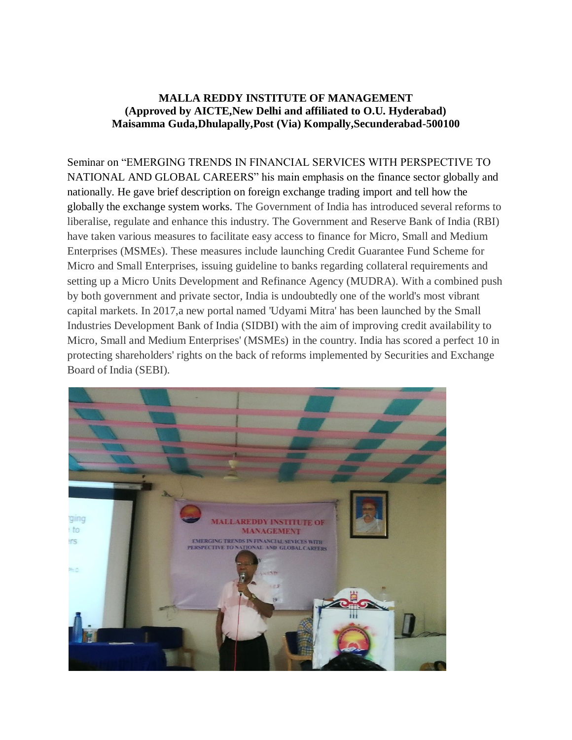## **MALLA REDDY INSTITUTE OF MANAGEMENT (Approved by AICTE,New Delhi and affiliated to O.U. Hyderabad) Maisamma Guda,Dhulapally,Post (Via) Kompally,Secunderabad-500100**

Seminar on "EMERGING TRENDS IN FINANCIAL SERVICES WITH PERSPECTIVE TO NATIONAL AND GLOBAL CAREERS" his main emphasis on the finance sector globally and nationally. He gave brief description on foreign exchange trading import and tell how the globally the exchange system works. The Government of India has introduced several reforms to liberalise, regulate and enhance this industry. The Government and Reserve Bank of India (RBI) have taken various measures to facilitate easy access to finance for Micro, Small and Medium Enterprises (MSMEs). These measures include launching Credit Guarantee Fund Scheme for Micro and Small Enterprises, issuing guideline to banks regarding collateral requirements and setting up a Micro Units Development and Refinance Agency (MUDRA). With a combined push by both government and private sector, India is undoubtedly one of the world's most vibrant capital markets. In 2017,a new portal named 'Udyami Mitra' has been launched by the Small Industries Development Bank of India (SIDBI) with the aim of improving credit availability to Micro, Small and Medium Enterprises' (MSMEs) in the country. India has scored a perfect 10 in protecting shareholders' rights on the back of reforms implemented by Securities and Exchange Board of India (SEBI).

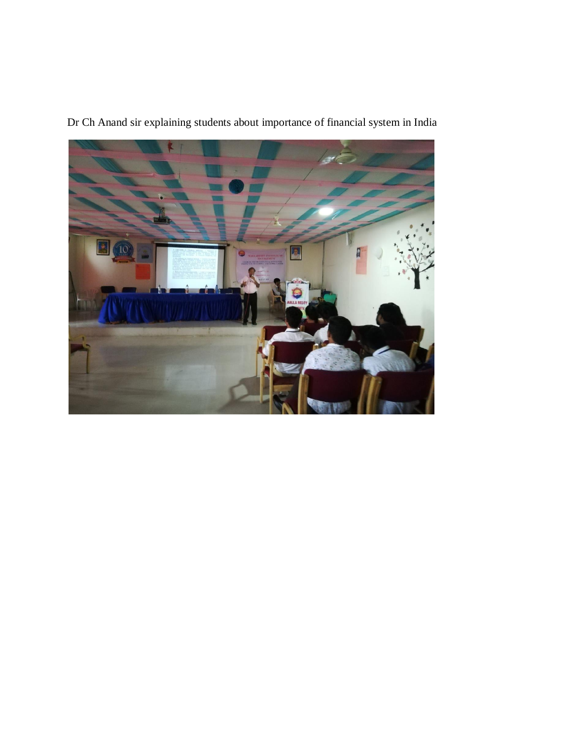

Dr Ch Anand sir explaining students about importance of financial system in India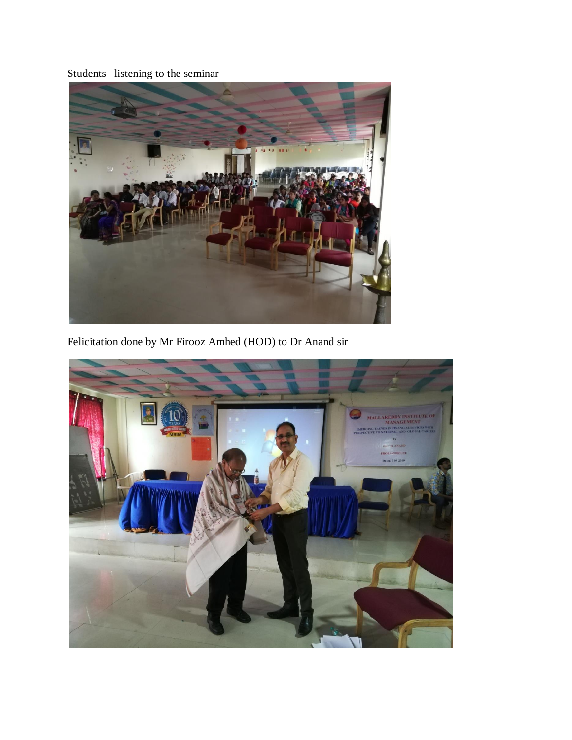Students listening to the seminar



Felicitation done by Mr Firooz Amhed (HOD) to Dr Anand sir